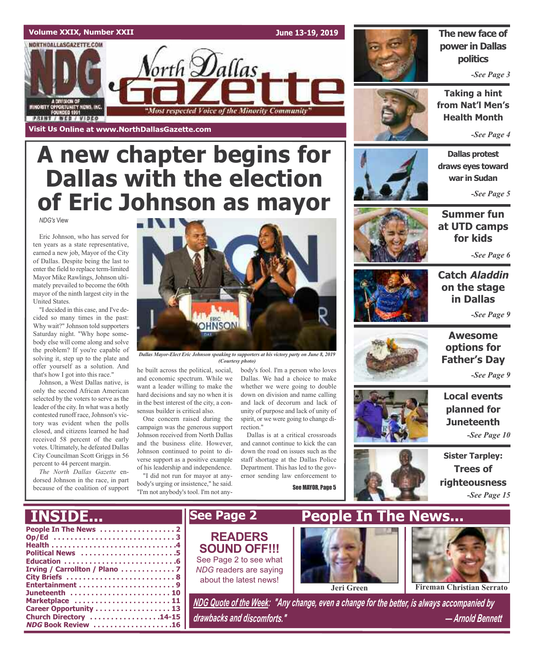### **Volume XXIX, Number XXII**

NORTHDALLASGAZETTE.COM

ORITY OPPORTUNITY NEWS, INC.<br>FOUNDED 1991

**STRIA / REB / AIDEO** 

**Visit Us Online at www.NorthDallasGazette.com**

**June 13-19, 2019**



### **The new face of power in Dallas politics**

*-See Page 3*

**Taking a hint from Nat'l Men's Health Month**

*-See Page 4*

**Dallas protest draws eyes toward war in Sudan**

**Summer fun at UTD camps for kids**

*-See Page 5*

*-See Page 6*



Eric Johnson, who has served for ten years as a state representative, earned a new job, Mayor of the City of Dallas. Despite being the last to enter the field to replace term-limited Mayor Mike Rawlings, Johnson ultimately prevailed to become the 60th mayor of the ninth largest city in the United States.

"I decided in this case, and I've decided so many times in the past: Why wait?" Johnson told supporters Saturday night. "Why hope somebody else will come along and solve the problem? If you're capable of solving it, step up to the plate and offer yourself as a solution. And that's how I got into this race."

Johnson, a West Dallas native, is only the second African American selected by the voters to serve as the leader of the city. In what was a hotly contested runoff race, Johnson's victory was evident when the polls closed, and citizens learned he had received 58 percent of the early votes. Ultimately, he defeated Dallas City Councilman Scott Griggs in 56 percent to 44 percent margin.

*The North Dallas Gazette* endorsed Johnson in the race, in part because of the coalition of support



*Dallas Mayor-Elect Eric Johnson speaking to supporters at his victory party on June 8, 2019 (Courtesy photo)*

he built across the political, social, and economic spectrum. While we want a leader willing to make the hard decisions and say no when it is in the best interest of the city, a consensus builder is critical also.

**A new chapter begins for**

orth **D**allas

"Most respected Voice of the Minority Community"

**Dallas with the election**

**of Eric Johnson as mayor**

One concern raised during the campaign was the generous support Johnson received from North Dallas and the business elite. However, Johnson continued to point to diverse support as a positive example of his leadership and independence.

"I did not run for mayor at anybody's urging or insistence," he said. "I'm not anybody's tool. I'm not anybody's fool. I'm a person who loves Dallas. We had a choice to make whether we were going to double down on division and name calling and lack of decorum and lack of unity of purpose and lack of unity of spirit, or we were going to change direction."

Dallas is at a critical crossroads and cannot continue to kick the can down the road on issues such as the staff shortage at the Dallas Police Department. This has led to the governor sending law enforcement to

See MAYOR, Page 5





**Catch Aladdin on the stage in Dallas** *-See Page 9*



**Awesome options for Father's Day**

*-See Page 9*

**Local events planned for Juneteenth**

*-See Page 10*

**Sister Tarpley: Trees of righteousness** *-See Page 15*

| <b>INSIDE</b>                                                                             | <b>See Page 2</b>                                                                                                   | <b>People In The News</b>                                                                                      |  |
|-------------------------------------------------------------------------------------------|---------------------------------------------------------------------------------------------------------------------|----------------------------------------------------------------------------------------------------------------|--|
| Op/Ed 3<br>Political News 5<br>Juneteenth  10                                             | <b>READERS</b><br><b>SOUND OFF!!!</b><br>See Page 2 to see what<br>NDG readers are saying<br>about the latest news! | <b>Fireman Christian Serrato</b><br>Jeri Green                                                                 |  |
| Marketplace  11<br>Career Opportunity  13<br>Church Directory 14-15<br>NDG Book Review 16 | drawbacks and discomforts."                                                                                         | NDG Quote of the Week: "Any change, even a change for the better, is always accompanied by<br>- Arnold Bennett |  |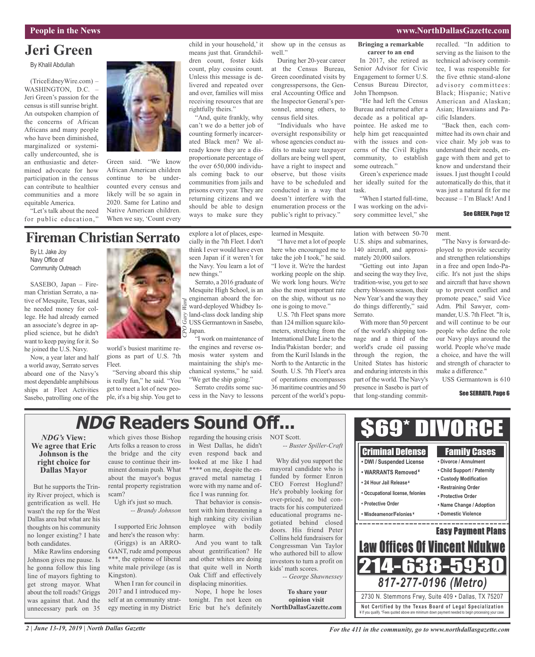# **Jeri Green**

By Khalil Abdullah

(TriceEdneyWire.com) – WASHINGTON, D.C. -Jeri Green's passion for the census is still sunrise bright. An outspoken champion of the concerns of African Africans and many people who have been diminished, marginalized or systemically undercounted, she is an enthusiastic and determined advocate for how participation in the census can contribute to healthier communities and a more equitable America.

"Let's talk about the need for public education,"



Green said. "We know African American children continue to be undercounted every census and likely will be so again in 2020. Same for Latino and Native American children. When we say, 'Count every

### **FiremanChristian Serrato**

By Lt. Jake Joy Navy Office of Community Outreach

SASEBO, Japan – Fireman Christian Serrato, a native of Mesquite, Texas, said he needed money for college. He had already earned an associate's degree in applied science, but he didn't want to keep paying for it. So he joined the U.S. Navy.

Now, a year later and half a world away, Serrato serves aboard one of the Navy's most dependable amphibious ships at Fleet Activities Sasebo, patrolling one of the



world's busiest maritime regions as part of U.S. 7th Fleet.

"Serving aboard this ship is really fun," he said. "You get to meet a lot of new people, it's a big ship. You get to explore a lot of places, especially in the 7th Fleet. I don't think I ever would have even seen Japan if it weren't for the Navy. You learn a lot of new things."

count, play cousins count. Unless this message is delivered and repeated over and over, families will miss receiving resources that are

"And, quite frankly, why can't we do a better job of counting formerly incarcerated Black men? We already know they are a disproportionate percentage of the over 650,000 individuals coming back to our communities from jails and prisons every year. They are returning citizens and we should be able to design ways to make sure they

rightfully theirs."

Mesquite High School, is an engineman aboard the forward-deployed Whidbey Island-class dock landing ship USS Germantown in Sasebo, Japan.

"I work on maintenance of the engines and reverse osmosis water system and maintaining the ship's mechanical systems," he said. "We get the ship going."

child in your household,' it means just that. Grandchildren count, foster kids show up in the census as well." During her 20-year career

at the Census Bureau, Green coordinated visits by congresspersons, the General Accounting Office and the Inspector General's personnel, among others, to census field sites.

"Individuals who have oversight responsibility or whose agencies conduct audits to make sure taxpayer dollars are being well spent, have a right to inspect and observe, but those visits have to be scheduled and conducted in a way that doesn't interfere with the enumeration process or the public's right to privacy."

learned in Mesquite.

"I have met a lot of people here who encouraged me to take the job I took," he said. "I love it. We're the hardest working people on the ship. We work long hours. We're also the most important rate on the ship, without us no one is going to move."

U.S. 7th Fleet spans more than 124 million square kilometers, stretching from the International Date Line to the India/Pakistan border; and from the Kuril Islands in the North to the Antarctic in the South. U.S. 7th Fleet's area of operations encompasses 36 maritime countries and 50 percent of the world's population with between 50-70 U.S. ships and submarines, 140 aircraft, and approximately 20,000 sailors.

Green's experience made her ideally suited for the

"When I started full-time, I was working on the advisory committee level," she

**Bringing a remarkable career to an end** In 2017, she retired as Senior Advisor for Civic Engagement to former U.S. Census Bureau Director,

"He had left the Census Bureau and returned after a decade as a political appointee. He asked me to help him get reacquainted with the issues and concerns of the Civil Rights community, to establish

John Thompson.

some outreach."

task.

"Getting out into Japan and seeing the way they live, tradition-wise, you get to see cherry blossom season, their NewYear's and the way they do things differently," said Serrato.

With more than 50 percent of the world's shipping tonnage and a third of the world's crude oil passing through the region, the United States has historic and enduring interests in this part of the world. The Navy's presence in Sasebo is part of that long-standing commitrecalled. "In addition to serving as the liaison to the technical advisory committee, I was responsible for the five ethnic stand-alone advisory committees: Black; Hispanic; Native American and Alaskan; Asian; Hawaiians and Pacific Islanders.

"Back then, each committee had its own chair and vice chair. My job was to understand their needs, engage with them and get to know and understand their issues. I just thought I could automatically do this, that it was just a natural fit for me because – I'm Black! And I

### See GREEN, Page 12

ment.

"The Navy is forward-deployed to provide security and strengthen relationships in a free and open Indo-Pacific. It's not just the ships and aircraft that have shown up to prevent conflict and promote peace," said Vice Adm. Phil Sawyer, commander, U.S. 7th Fleet. "It is, and will continue to be our people who define the role our Navy plays around the world. People who've made a choice, and have the will and strength of character to make a difference."

USS Germantown is 610

#### See SERRATO, Page 6

# **NDG Readers Sound Off...**

### *NDG's* **View: We agree that Eric Johnson is the right choice for Dallas Mayor**

But he supports the Trinity River project, which is gentrification as well. He wasn't the rep for the West Dallas area but what are his thoughts on his community no longer existing? I hate both candidates.

Mike Rawlins endorsing Johnson gives me pause. Is he gonna follow this ling line of mayors fighting to get strong mayor. What about the toll roads? Griggs was against that. And the unnecessary park on 35 which gives those Bishop Arts folks a reason to cross the bridge and the city cause to continue their imminent domain push. What about the mayor's bogus rental property registration scam?

Ugh it's just so much. *-- Brandy Johnson*

I supported Eric Johnson

and here's the reason why: (Griggs) is an ARRO-GANT, rude amd pompous \*\*\*, the epitome of liberal

white male privilege (as is Kingston). When I ran for council in

2017 and I introduced myself at an community strategy meeting in my District regarding the housing crisis in West Dallas, he didn't even respond back and looked at me like I had \*\*\*\* on me, despite the engraved metal nametag I wore with my name and office I was running for.

That behavior is consistent with him threatening a high ranking city civilian employee with bodily harm.

And you want to talk about gentrification? He and other whites are doing that quite well in North Oak Cliff and effectively displacing minorities.

Nope, I hope he loses tonight. I'm not keen on Eric but he's definitely NOT Scott.

Why did you support the mayoral candidate who is funded by former Enron CEO Forrest Hoglund? He's probably looking for over-priced, no bid contracts for his computerized educational programs negotiated behind closed doors. His friend Peter Collins held fundraisers for Congressman Van Taylor who authored bill to allow investors to turn a profit on kids' math scores.

**To share your opinion visit**



Serrato, a 2016 graduate of

Serrato credits some success in the Navy to lessons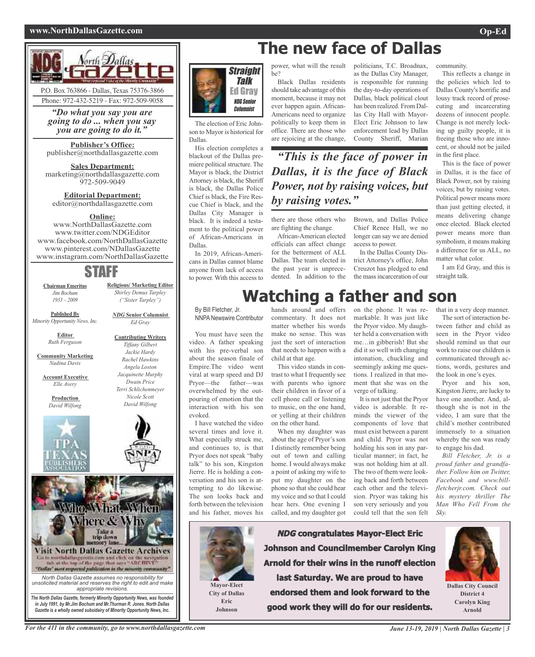### **www.NorthDallasGazette.com Op-Ed**



*"Do what you say you are going to do ... when you say you are going to do it."*

**Publisher's Office:** publisher@northdallasgazette.com

**Sales Department:** marketing@northdallasgazette.com 972-509-9049

**Editorial Department:** editor@northdallasgazette.com

### **Online:**

www.NorthDallasGazette.com www.twitter.com/NDGEditor www.facebook.com/NorthDallasGazette www.pinterest.com/NDallasGazette www.instagram.com/NorthDallasGazette

### STAFF

**Chairman Emeritus** *Jim Bochum 1933 – 2009*

*("Sister Tarpley") NDG* **Senior Columnist**

*Ed Gray*

**Contributing Writers** *Tiffany Gilbert Jackie Hardy Rachel Hawkins Angela Loston*

**Religious/ Marketing Editor** *Shirley Demus Tarpley*

**Published By** *Minority Opportunity News, Inc.*

> **Editor** *Ruth Ferguson*

**Community Marketing** *Nadina Davis*

**Account Executive** *Elle Avery*

> **Production** *David Wilfong*



*Jacquinette Murphy Dwain Price Terri Schlichenmeyer Nicole Scott David Wilfong*



*unsolicited material and reserves the right to edit and make appropriate revisions. The North Dallas Gazette, formerly Minority Opportunity News, was founded*

*in July 1991, by Mr.Jim Bochum and Mr.Thurman R. Jones. North Dallas Gazette is a wholly owned subsidairy of Minority Opportunity News, Inc.*

power, what will the result **The new face of Dallas**

Straight Talk Ed Gray NDG Senior **Columnist** 

The election of Eric Johnson to Mayor is historical for Dallas.

His election completes a blackout of the Dallas premiere political structure. The Mayor is black, the District Attorney is black, the Sheriff is black, the Dallas Police Chief is black, the Fire Rescue Chief is black, and the Dallas City Manager is black. It is indeed a testament to the political power of African-Americans in Dallas.

In 2019, African-Americans in Dallas cannot blame anyone from lack of access to power. With this access to be? Black Dallas residents

should take advantage of this moment, because it may not ever happen again. African-Americans need to organize politically to keep them in office. There are those who are rejoicing at the change, politicians, T.C. Broadnax, as the Dallas City Manager, is responsible for running the day-to-day operations of Dallas, black political clout has been realized. From Dallas City Hall with Mayor-Elect Eric Johnson to law enforcement lead by Dallas County Sheriff, Marian

*"This is the face of power in Dallas, it is the face of Black Power, not by raising voices, but by raising votes."*

there are those others who are fighting the change.

African-American elected officials can affect change for the betterment of ALL Dallas. The team elected in the past year is unprecedented. In addition to the Brown, and Dallas Police Chief Renee Hall, we no longer can say we are denied access to power.

In the Dallas County District Attorney's office, John Creuzot has pledged to end the massincarceration of our

community.

This reflects a change in the policies which led to Dallas County's horrific and lousy track record of prosecuting and incarcerating dozens of innocent people. Change is not merely locking up guilty people, it is freeing those who are innocent, or should not be jailed in the first place.

This is the face of power in Dallas, it is the face of Black Power, not by raising voices, but by raising votes. Political power means more than just getting elected, it means delivering change once elected. Black elected power means more than symbolism, it means making a difference for us ALL, no matter what color.

I am Ed Gray, and this is straight talk.

# **Watching a father and son**

By Bill Fletcher, Jr. NNPANewswire Contributor

You must have seen the video. A father speaking with his pre-verbal son about the season finale of Empire.The video went viral at warp speed and DJ Pryor—the father—was overwhelmed by the outpouring of emotion that the interaction with his son evoked.

I have watched the video several times and love it. What especially struck me, and continues to, is that Pryor does not speak "baby talk" to his son, Kingston Jierre. He is holding a conversation and his son is attempting to do likewise. The son looks back and forth between the television and his father, moves his

commentary. It does not matter whether his words make no sense. This was just the sort of interaction that needs to happen with a child at that age.

This video stands in contrast to what I frequently see with parents who ignore their children in favor of a cell phone call or listening to music, on the one hand, or yelling at their children on the other hand.

When my daughter was about the age of Pryor's son I distinctly remember being out of town and calling home. I would always make a point of asking my wife to put my daughter on the phone so that she could hear my voice and so that I could hear hers. One evening I called, and my daughter got

hands around and offers on the phone. It was remarkable. It was just like the Pryor video. My daughter held a conversation with me…in gibberish! But she did it so well with changing intonation, chuckling and seemingly asking me questions. I realized in that moment that she was on the verge of talking.

> It is not just that the Pryor video is adorable. It reminds the viewer of the components of love that must exist between a parent and child. Pryor was not holding his son in any particular manner; in fact, he was not holding him at all. The two of them were looking back and forth between each other and the television. Pryor was taking his son very seriously and you could tell that the son felt

that in a very deep manner.

The sort of interaction between father and child as seen in the Pryor video should remind us that our work to raise our children is communicated through actions, words, gestures and the look in one's eyes.

Pryor and his son, Kingston Jierre, are lucky to have one another. And, although she is not in the video, I am sure that the child's mother contributed immensely to a situation whereby the son was ready to engage his dad.

*Bill Fletcher, Jr. is a proud father and grandfather. Follow him on Twitter, Facebook and www.billfletcherjr.com. Check out his mystery thriller The Man Who Fell From the Sky.*



**Eric Johnson**

**NDG congratulates Mayor-Elect Eric Johnson and Councilmember Carolyn King Arnold for their wins in the runoff election last Saturday. We are proud to have endorsed them and look forward to the good work they will do for our residents.**



**Dallas City Council District 4 Carolyn King Arnold**

For the 411 in the community, go to www.northdallasgazette.com June 13-19, 2019 | North Dallas Gazette | 3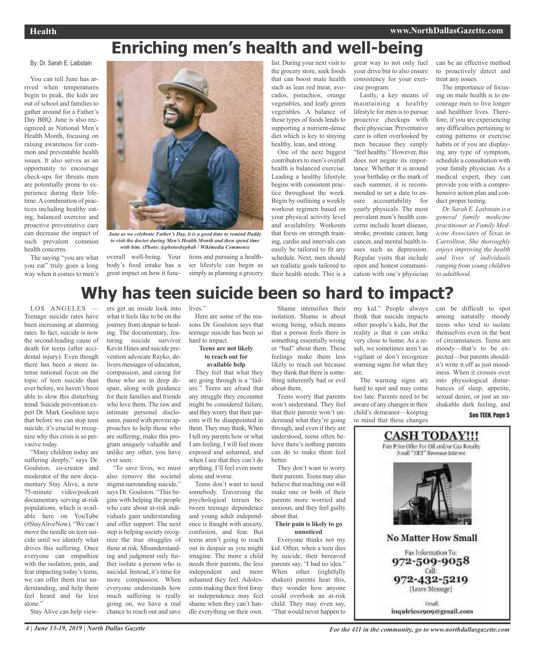# **Enriching men's health and well-being**

#### By: Dr. Sarah E. Laibstain

You can tell June has arrived when temperatures begin to peak, the kids are out of school and families to gather around for a Father's Day BBQ. June is also recognized as National Men's Health Month, focusing on raising awareness for common and preventable health issues. It also serves as an opportunity to encourage check-ups for threats men are potentially prone to experience during their lifetime. A combination of practices including healthy eating, balanced exercise and proactive preventative care can decrease the impact of such prevalent common health concerns.

The saying "you are what you eat" truly goes a long way when it comes to men's



*June as we celebrate Father's Day, it is a good time to remind Daddy to visit the doctor during Men's Health Month and then spend time with him. (Photo: @photosbyphab / Wikimedia Commons)*

overall well-being. Your tions and pursuing a healthbody's food intake has a great impact on how it func-

list. During your next visit to the grocery store, seek foods that can boost male health such as lean red meat, avocados, pistachios, orange vegetables, and leafy green vegetables. A balance of these types of foods lends to supporting a nutrient-dense diet which is key to staying healthy, lean, and strong.

One of the next biggest contributors to men's overall health is balanced exercise. Leading a healthy lifestyle begins with consistent practice throughout the week. Begin by outlining a weekly workout regimen based on your physical activity level and availability. Workouts that focus on strength training, cardio and intervals can easily be tailored to fit any schedule. Next, men should set realistic goals tailored to their health needs. This is a great way to not only fuel your drive but to also ensure consistency for your exercise program.

Lastly, a key means of maintaining a healthy lifestyle for men is to pursue proactive checkups with their physician. Preventative care is often overlooked by men because they simply "feel healthy." However, this does not negate its importance. Whether it is around your birthday or the mark of each summer, it is recommended to set a date to ensure accountability for yearly physicals. The most prevalent men's health concerns include heart disease, stroke, prostate cancer, lung cancer, and mental health issues such as depression. Regular visits that include open and honest communication with one's physician can be an effective method to proactively detect and treat any issues.

The importance of focusing on male health is to encourage men to live longer and healthier lives. Therefore, if you are experiencing any difficulties pertaining to eating patterns or exercise habits or if you are displaying any type of symptom, schedule a consultation with your family physician. As a medical expert, they can provide you with a comprehensive action plan and conduct proper testing.

*Dr. Sarah E. Laibstain is a general family medicine practitioner at Family Medicine Associates of Texas in Carrollton. She thoroughly enjoys improving the health and lives of individuals ranging from young children to adulthood.*

# **Why has teen suicide been so hard to impact?**

LOS ANGELES Teenage suicide rates have been increasing at alarming rates. In fact, suicide is now the second-leading cause of death for teens (after accidental injury). Even though there has been a more intense national focus on the topic of teen suicide than ever before, we haven't been able to slow this disturbing trend. Suicide prevention expert Dr. Mark Goulston says that before we can stop teen suicide, it's crucial to recognize why this crisis is so pervasive today.

"Many children today are suffering deeply," says Dr. Goulston, co-creator and moderator of the new documentary Stay Alive, a new 75-minute video/podcast documentary serving at-risk populations, which is available here on YouTube (#StayAliveNow). "We can't move the needle on teen suicide until we identify what drives this suffering. Once everyone can empathize with the isolation, pain, and fear impacting today's teens, we can offer them true understanding, and help them feel heard and far less alone."

Stay Alive can help view-

ers get an inside look into what it feels like to be on the journey from despair to healing. The documentary, featuring suicide survivor Kevin Hines and suicide prevention advocate Rayko, delivers messages of education, compassion, and caring for those who are in deep despair, along with guidance for their families and friends who love them. The raw and intimate personal disclosures, paired with proven approaches to help those who are suffering, make this program uniquely valuable and unlike any other, you have ever seen.

"To save lives, we must also remove the societal stigma surrounding suicide," says Dr. Goulston. "This begins with helping the people who care about at-risk individuals gain understanding and offer support. The next step is helping society recognize the true struggles of those at risk. Misunderstanding and judgment only further isolate a person who is suicidal. Instead, it's time for more compassion. When everyone understands how much suffering is really going on, we have a real chance to reach out and save

lives."

Here are some of the reasons Dr. Goulston says that teenage suicide has been so hard to impact.

ier lifestyle can begin as simply as planning a grocery

#### **Teens are not likely to reach out for available help**

They feel that what they are going through is a "failure." Teens are afraid that any struggle they encounter might be considered failure, and they worry that their parents will be disappointed in them. They may think, When I tell my parents how or what I am feeling, I will feel more exposed and ashamed, and when I see that they can't do anything, I'll feel even more alone and worse.

Teens don't want to need somebody. Traversing the psychological terrain between teenage dependence and young adult independence is fraught with anxiety, confusion, and fear. But teens aren't going to reach out in despair as you might imagine. The more a child needs their parents, the less independent and more ashamed they feel. Adolescents making their first foray in independence may feel shame when they can't handle everything on their own.

Shame intensifies their isolation. Shame is about wrong being, which means that a person feels there is something essentially wrong or "bad" about them. These feelings make them less likely to reach out because they think that there is something inherently bad or evil about them.

Teens worry that parents won't understand. They feel that their parents won't understand what they're going through, and even if they are understood, teens often believe there's nothing parents can do to make them feel better.

They don't want to worry their parents. Teens may also believe that reaching out will make one or both of their parents more worried and anxious, and they feel guilty about that.

#### **Their pain is likely to go unnoticed**

Everyone thinks not my kid. Often, when a teen dies by suicide, their bereaved parents say, "I had no idea." When other (rightfully shaken) parents hear this, they wonder how anyone could overlook an at-risk child. They may even say, "That would never happen to my kid." People always think that suicide impacts other people's kids, but the reality is that it can strike very close to home. As a result, we sometimes aren't as vigilant or don't recognize warning signs for what they are.

The warning signs are hard to spot and may come too late. Parents need to be aware of any changes in their child's demeanor—keeping in mind that these changes

can be difficult to spot among naturally moody teens who tend to isolate themselves even in the best of circumstances. Teens are moody—that's to be expected—but parents shouldn't write it off as just moodiness. When it crosses over into physiological disturbances of sleep, appetite, sexual desire, or just an unshakable dark feeling, and

See TEEN, Page 5

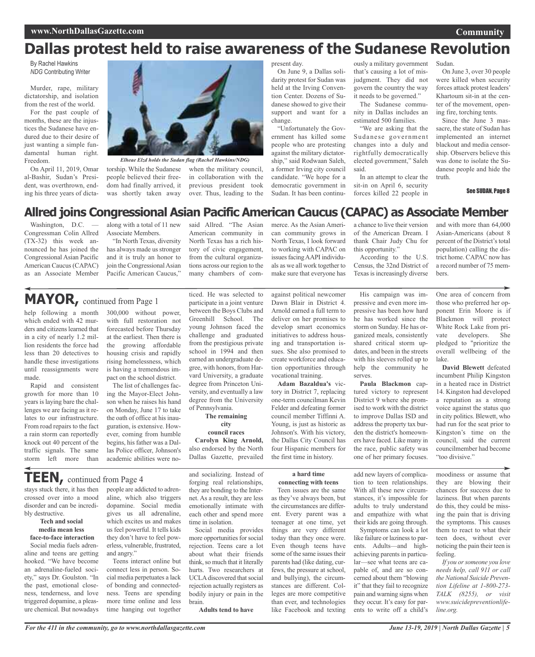# **Dallas protest held to raise awareness of the Sudanese Revolution**

By Rachel Hawkins *NDG* Contributing Writer

Murder, rape, military dictatorship, and isolation from the rest of the world.

For the past couple of months, these are the injustices the Sudanese have endured due to their desire of just wanting a simple fundamental human right. Freedom.

On April 11, 2019, Omar al-Bashir, Sudan's President, was overthrown, ending his three years of dicta-



*Elheae Elzd holds the Sudan flag (Rachel Hawkins/NDG)*

people believed their freedom had finally arrived, it was shortly taken away

torship. While the Sudanese when the military council, in collaboration with the previous president took over. Thus, leading to the

present day. On June 9, a Dallas solidarity protest for Sudan was held at the Irving Convention Center. Dozens of Sudanese showed to give their support and want for a change.

"Unfortunately the Government has killed some people who are protesting against the military dictatorship," said Rodwaan Saleh, a former Irving city council candidate. "We hope for a democratic government in Sudan. It has been continu-

ously a military government that's causing a lot of misjudgment. They did not govern the country the way it needs to be governed."

The Sudanese community in Dallas includes an estimated 500 families.

"We are asking that the Sudanese government changes into a duly and rightfully democratically elected government," Saleh said.

In an attempt to clear the sit-in on April 6, security forces killed 22 people in

Sudan.

On June 3, over 30 people were killed when security forces attack protest leaders' Khartoum sit-in at the center of the movement, opening fire, torching tents.

Since the June 3 massacre, the state of Sudan has implemented an internet blackout and media censorship. Observers believe this was done to isolate the Sudanese people and hide the truth.

See SUDAN, Page 8

### **Allred joins Congressional Asian Pacific American Caucus (CAPAC) as Associate Member**

Washington, D.C. — Congressman Colin Allred (TX-32) this week announced he has joined the Congressional Asian Pacific American Caucus(CAPAC) as an Associate Member

along with a total of 11 new said Allred. "The Asian Associate Members.

"In North Texas, diversity has always made us stronger and it is truly an honor to join the Congressional Asian Pacific American Caucus,"

American community in North Texas has a rich history of civic engagement, from the cultural organizations across our region to the many chambers of commerce. As the Asian American community grows in North Texas, I look forward to working with CAPAC on issues facing AAPI individuals as we all work together to make sure that everyone has

a chance to live their version of the American Dream. I thank Chair Judy Chu for this opportunity."

According to the U.S. Census, the 32nd District of Texas is increasingly diverse

and with more than 64,000 Asian-Americans (about 8 percent of the District's total population) calling the district home. CAPAC now has a record number of 75 members.

One area of concern from

### **MAYOR,** continued from Page <sup>1</sup>

help following a month which ended with 42 murders and citizens learned that in a city of nearly 1.2 million residents the force had less than 20 detectives to handle these investigations until reassignments were made.

Rapid and consistent growth for more than 10 years is laying bare the challenges we are facing as it relates to our infrastructure. From road repairs to the fact a rain storm can reportedly knock out 40 percent of the traffic signals. The same storm left more than

300,000 without power, with full restoration not forecasted before Thursday at the earliest. Then there is the growing affordable housing crisis and rapidly rising homelessness, which is having a tremendous impact on the school district.

The list of challenges facing the Mayor-Elect Johnson when he raises his hand on Monday, June 17 to take the oath of office at his inauguration, is extensive. However, coming from humble begins, his father was a Dallas Police officer, Johnson's academic abilities were noticed. He was selected to participate in a joint venture between the Boys Clubs and Greenhill School. The young Johnson faced the challenge and graduated from the prestigious private school in 1994 and then earned an undergraduate degree, with honors, from Harvard University, a graduate degree from Princeton University, and eventually a law degree from the University of Pennsylvania.

**The remaining city council races Carolyn King Arnold,**

also endorsed by the North Dallas Gazette, prevailed against political newcomer Dawn Blair in District 4. Arnold earned a full term to deliver on her promises to develop smart economics initiatives to address housing and transportation issues. She also promised to create workforce and education opportunities through vocational training.

**Adam Bazaldua's** victory in District 7, replacing one-term councilman Kevin Felder and defeating former council member Tiffinni A. Young, is just as historic as Johnson's. With his victory, the Dallas City Council has four Hispanic members for the first time in history.

His campaign was impressive and even more impressive has been how hard he has worked since the storm on Sunday. He has organized meals, consistently shared critical storm updates, and been in the streets with his sleeves rolled up to help the community he serves.

**Paula Blackmon** captured victory to represent District 9 where she promised to work with the district to improve Dallas ISD and address the property tax burden the district's homeowners have faced. Like many in the race, public safety was one of her primary focuses.

those who preferred her opponent Erin Moore is if Blackmon will protect White Rock Lake from private developers. She pledged to "prioritize the overall wellbeing of the lake. **David Blewett** defeated

incumbent Philip Kingston in a heated race in District 14. Kingston had developed a reputation as a strong voice against the status quo in city politics. Blewett, who had run for the seat prior to Kingston's time on the council, said the current councilmember had become "too divisive."

**TEEN,** continued from Page <sup>4</sup>

stays stuck there, it has then crossed over into a mood disorder and can be incredibly destructive.

#### **Tech and social media mean less face-to-face interaction**

Social media fuels adrenaline and teens are getting hooked. "We have become an adrenaline-fueled society," says Dr. Goulston. "In the past, emotional closeness, tenderness, and love triggered dopamine, a pleasure chemical. But nowadays

people are addicted to adrenaline, which also triggers dopamine. Social media gives us all adrenaline, which excites us and makes us feel powerful. It tells kids they don't have to feel powerless, vulnerable, frustrated, and angry."

Teens interact online but connect less in person. Social media perpetuates a lack of bonding and connectedness. Teens are spending more time online and less time hanging out together

and socializing. Instead of forging real relationships, they are bonding to the Internet. As a result, they are less emotionally intimate with each other and spend more time in isolation.

Social media provides more opportunities for social rejection. Teens care a lot about what their friends think, so much that it literally hurts. Two researchers at UCLA discovered that social rejection actually registers as bodily injury or pain in the brain.

**Adults tend to have**

#### **a hard time connecting with teens**

Teen issues are the same as they've always been, but the circumstances are different. Every parent was a teenager at one time, yet things are very different today than they once were. Even though teens have some of the same issues their parents had (like dating, curfews, the pressure at school, and bullying), the circumstances are different. Colleges are more competitive than ever, and technologies like Facebook and texting

add new layers of complication to teen relationships. With all these new circumstances, it's impossible for adults to truly understand and empathize with what their kids are going through. Symptoms can look a lot like failure or laziness to par-

ents. Adults—and highachieving parents in particular—see what teens are capable of, and are so concerned about them "blowing it" that they fail to recognize pain and warning signs when they occur. It's easy for parents to write off a child's

moodiness or assume that they are blowing their chances for success due to laziness. But when parents do this, they could be missing the pain that is driving the symptoms. This causes them to react to what their teen does, without ever noticing the pain their teen is feeling.

*If you orsomeone you love needs help, call 911 or call the National Suicide Prevention Lifeline at 1-800-273- TALK (8255), or visit www.suicidepreventionlifeline.org.*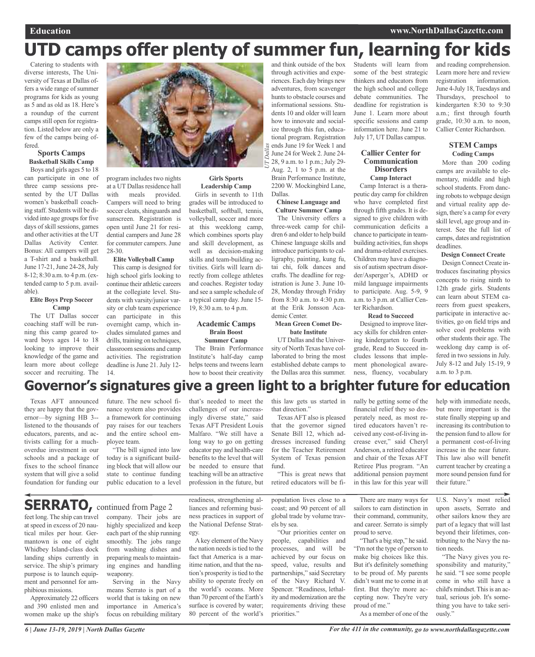# **UTD camps offer plenty of summer fun, learning for kids**

Catering to students with diverse interests, The University of Texas at Dallas offers a wide range of summer programs for kids as young as 5 and as old as 18. Here's a roundup of the current camps still open for registration. Listed below are only a few of the camps being offered.

#### **Sports Camps Basketball Skills Camp**

Boys and girls ages 5 to 18 can participate in one of three camp sessions presented by the UT Dallas women's basketball coaching staff. Students will be divided into age groups for five days of skill sessions, games and other activities at the UT Dallas Activity Center. Bonus: All campers will get a T-shirt and a basketball. June 17-21, June 24-28, July 8-12; 8:30 a.m. to 4 p.m. (extended camp to 5 p.m. available).

#### **Elite Boys Prep Soccer Camp**

The UT Dallas soccer coaching staff will be running this camp geared toward boys ages 14 to 18 looking to improve their knowledge of the game and learn more about college soccer and recruiting. The



program includes two nights at a UT Dallas residence hall with meals provided. Campers will need to bring soccer cleats, shinguards and sunscreen. Registration is open until June 21 for residential campers and June 28 for commuter campers. June 28-30.

### **Elite Volleyball Camp**

This camp is designed for high school girls looking to continue their athletic careers at the collegiate level. Students with varsity/junior varsity or club team experience can participate in this overnight camp, which includes simulated games and drills, training on techniques, classroom sessions and camp activities. The registration deadline is June 21. July 12- 14.

### **Girls Sports Leadership Camp**

Girls in seventh to 11th grades will be introduced to basketball, softball, tennis, volleyball, soccer and more at this weeklong camp, which combines sports play and skill development, as well as decision-making skills and team-building activities. Girls will learn directly from college athletes and coaches. Register today and see a sample schedule of a typical camp day. June 15- 19, 8:30 a.m. to 4 p.m.

### **Academic Camps Brain Boost Summer Camp**

The Brain Performance Institute's half-day camp helps teens and tweens learn how to boost their creativity

*UT Dallas* and think outside of the box through activities and experiences. Each day brings new adventures, from scavenger hunts to obstacle courses and informational sessions. Students 10 and older will learn how to innovate and socialize through this fun, educational program. Registration ends June 19 for Week 1 and June 24 for Week 2.June 24- 28, 9 a.m. to 1 p.m.; July 29- Aug. 2, 1 to 5 p.m. at the Brain Performance Institute, 2200 W. Mockingbird Lane, Dallas.

#### **Chinese Language and Culture Summer Camp**

The University offers a three-week camp for children 6 and older to help build Chinese language skills and introduce participants to calligraphy, painting, kung fu, tai chi, folk dances and crafts. The deadline for registration is June 3. June 10- 28, Monday through Friday from 8:30 a.m. to 4:30 p.m. at the Erik Jonsson Academic Center.

**Mean Green Comet Debate Institute**

UT Dallas and the University of North Texas have collaborated to bring the most established debate camps to the Dallas area this summer. Students will learn from some of the best strategic thinkers and educators from the high school and college debate communities. The deadline for registration is June 1. Learn more about specific sessions and camp information here. June 21 to July 17, UT Dallas campus.

### **Callier Center for Communication Disorders**

**Camp Interact** Camp Interact is a therapeutic day camp for children who have completed first through fifth grades. It is designed to give children with communication deficits a chance to participate in teambuilding activities, fun shops and drama-related exercises. Children may have a diagnosis of autism spectrum disorder/Asperger's, ADHD or mild language impairments to participate. Aug. 5-9, 9 a.m. to 3 p.m. at Callier Center Richardson.

#### **Read to Succeed**

Designed to improve literacy skills for children entering kindergarten to fourth grade, Read to Succeed includes lessons that implement phonological awareness, fluency, vocabulary

nally be getting some of the

and reading comprehension. Learn more here and review registration information. June 4-July 18, Tuesdays and Thursdays, preschool to kindergarten 8:30 to 9:30 a.m.; first through fourth grade, 10:30 a.m. to noon, Callier Center Richardson.

### **STEM Camps Coding Camps**

More than 200 coding camps are available to elementary, middle and high school students. From dancing robots to webpage design and virtual reality app design, there's a camp for every skill level, age group and interest. See the full list of camps, dates and registration deadlines.

### **Design Connect Create**

Design Connect Create introduces fascinating physics concepts to rising ninth to 12th grade girls. Students can learn about STEM careers from guest speakers, participate in interactive activities, go on field trips and solve cool problems with other students their age. The weeklong day camp is offered in two sessions in July. July 8-12 and July 15-19, 9 a.m. to 3 p.m.

### **Governor's signatures give a green light to a brighter future for education**

Texas AFT announced they are happy that the governor—by signing HB 3- listened to the thousands of educators, parents, and activists calling for a muchoverdue investment in our schools and a package of fixes to the school finance system that will give a solid foundation for funding our

phibious missions.

Approximately 22 officers and 390 enlisted men and women make up the ship's future. The new school finance system also provides a framework for continuing pay raises for our teachers and the entire school employee team.

"The bill signed into law today is a significant building block that will allow our state to continue funding public education to a level

that's needed to meet the challenges of our increasingly diverse state," said Texas AFT President Louis Malfaro. "We still have a long way to go on getting educator pay and health-care benefits to the level that will be needed to ensure that teaching will be an attractive profession in the future, but

this law gets us started in that direction."

Texas AFT also is pleased that the governor signed Senate Bill 12, which addresses increased funding for the Teacher Retirement System of Texas pension fund.

"This is great news that retired educators will be fifinancial relief they so desperately need, as most retired educators haven't received any cost-of-living increase ever," said Cheryl Anderson, a retired educator and chair of the Texas AFT Retiree Plus program. "An additional pension payment in this law for this year will

There are many ways for sailors to earn distinction in their command, community, and career. Serrato is simply proud to serve.

"That's a big step," he said. "I'm not the type of person to make big choices like this. But it's definitely something to be proud of. My parents didn't want me to come in at first. But they're more accepting now. They're very proud of me."

As a member of one of the

help with immediate needs, but more important is the state finally stepping up and increasing its contribution to the pension fund to allow for a permanent cost-of-living increase in the near future. This law also will benefit current teacher by creating a more sound pension fund for their future.'

U.S. Navy's most relied upon assets, Serrato and other sailors know they are part of a legacy that will last beyond their lifetimes, contributing to the Navy the nation needs.

"The Navy gives you responsibility and maturity," he said. "I see some people come in who still have a child's mindset. This is an actual, serious job. It's something you have to take seriously."

feet long. The ship can travel at speed in excess of 20 nautical miles per hour. Germantown is one of eight Whidbey Island-class dock landing ships currently in service. The ship's primary purpose is to launch equipment and personnel for amcompany. Their jobs are highly specialized and keep each part of the ship running smoothly. The jobs range from washing dishes and preparing meals to maintaining engines and handling weaponry. **SERRATO**, continued from Page 2

Serving in the Navy means Serrato is part of a world that is taking on new importance in America's focus on rebuilding military

readiness, strengthening alliances and reforming business practices in support of the National Defense Strategy.

Akey element of the Navy the nation needs is tied to the fact that America is a maritime nation, and that the nation's prosperity is tied to the ability to operate freely on the world's oceans. More than 70 percent of the Earth's surface is covered by water; 80 percent of the world's

population lives close to a coast; and 90 percent of all global trade by volume travels by sea.

"Our priorities center on people, capabilities and processes, and will be achieved by our focus on speed, value, results and partnerships," said Secretary of the Navy Richard V. Spencer. "Readiness, lethality and modernization are the requirements driving these priorities."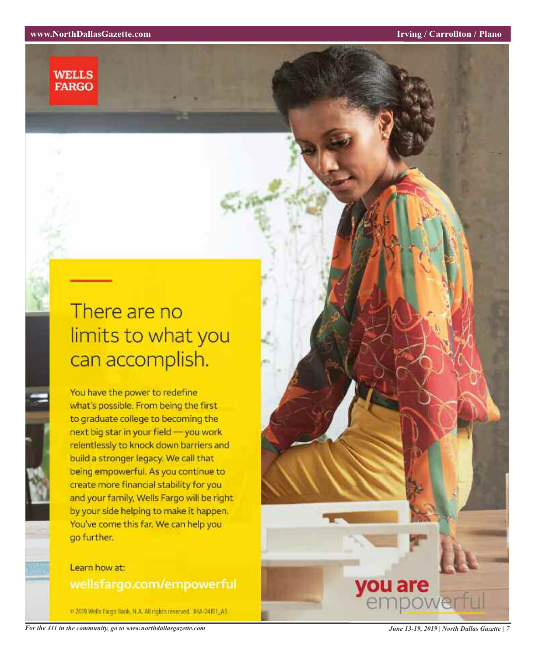### **WELLS FARGO**

# There are no limits to what you can accomplish.

You have the power to redefine what's possible. From being the first to graduate college to becoming the next big star in your field - you work relentlessly to knock down barriers and build a stronger legacy. We call that being empowerful. As you continue to create more financial stability for you and your family, Wells Fargo will be right by your side helping to make it happen. You've come this far. We can help you go further.

### Learn how at: wellsfargo.com/empowerful

= 2019 Wells Fargo Bank, N.A. All rights reserved. IHA-2481LA5.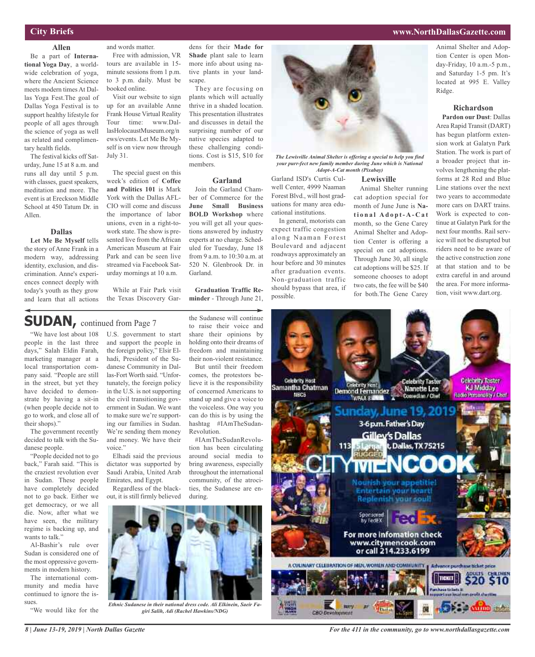### **City Briefs**

**Allen** Be a part of **International Yoga Day**, a worldwide celebration of yoga, where the Ancient Science meets modern times At Dallas Yoga Fest.The goal of Dallas Yoga Festival is to support healthy lifestyle for people of all ages through the science of yoga as well as related and complimentary health fields.

The festival kicks off Saturday, June 15 at 8 a.m. and runs all day until 5 p.m. with classes, guest speakers, meditation and more. The event is at Ereckson Middle School at 450 Tatum Dr. in Allen.

### **Dallas**

**Let Me Be Myself** tells the story of Anne Frank in a modern way, addressing identity, exclusion, and discrimination. Anne's experiences connect deeply with today's youth as they grow and learn that all actions and words matter.

Free with admission, VR tours are available in 15 minute sessions from 1 p.m. to 3 p.m. daily. Must be booked online.

Visit our website to sign up for an available Anne Frank House Virtual Reality Tour time: www.DallasHolocaustMuseum.org/n ews/events. Let Me Be Myself is on view now through July 31.

The special guest on this week's edition of **Coffee and Politics 101** is Mark York with the Dallas AFL-CIO will come and discuss the importance of labor unions, even in a right-towork state. The show is presented live from the African American Museum at Fair Park and can be seen live streamed via Facebook Saturday mornings at 10 a.m.

While at Fair Park visit the Texas Discovery Gar-

U.S. government to start and support the people in the foreign policy," Elsir Elhadi, President of the Sudanese Community in Dallas-Fort Worth said. "Unfortunately, the foreign policy in the U.S. is not supporting the civil transitioning government in Sudan. We want to make sure we're supporting our families in Sudan. We're sending them money and money. We have their

Elhadi said the previous dictator was supported by Saudi Arabia, United Arab Emirates, and Egypt.

Regardless of the blackout, it is still firmly believed

*Ethnic Sudanese in their national dress code. Ali Elkinein, Saeir Fagiri Salih, Adi (Rachel Hawkins/NDG)*

voice."

### **SUDAN,** continued from Page <sup>7</sup>

"We have lost about 108 people in the last three days," Salah Eldin Farah, marketing manager at a local transportation company said. "People are still in the street, but yet they have decided to demonstrate by having a sit-in (when people decide not to go to work, and close all of their shops)."

The government recently decided to talk with the Sudanese people.

"People decided not to go back," Farah said. "This is the craziest revolution ever in Sudan. These people have completely decided not to go back. Either we get democracy, or we all die. Now, after what we have seen, the military regime is backing up, and wants to talk."

Al-Bashir's rule over Sudan is considered one of the most oppressive governments in modern history.

The international community and media have continued to ignore the issues.

"We would like for the

dens for their **Made for Shade** plant sale to learn more info about using native plants in your landscape.

They are focusing on plants which will actually thrive in a shaded location. This presentation illustrates and discusses in detail the surprising number of our native species adapted to these challenging conditions. Cost is \$15, \$10 for members.

### **Garland**

Join the Garland Chamber of Commerce for the **June Small Business BOLD Workshop** where you will get all your questions answered by industry experts at no charge. Scheduled for Tuesday, June 18 from 9 a.m. to 10:30 a.m. at 520 N. Glenbrook Dr. in Garland.

**Graduation Traffic Reminder** - Through June 21,

the Sudanese will continue to raise their voice and share their opinions by holding onto their dreams of freedom and maintaining their non-violent resistance.

But until their freedom comes, the protestors believe it is the responsibility of concerned Americans to stand up and give a voice to the voiceless. One way you can do this is by using the hashtag #IAmTheSudan-Revolution.

#IAmTheSudanRevolution has been circulating around social media to bring awareness, especially throughout the international community, of the atrocities, the Sudanese are enduring.



*The Lewisville Animal Shelter is offering a special to help you find your purr-fect new family member during June which is National Adopt-A-Cat month (Pixabay)*

**Lewisville**

Animal Shelter running cat adoption special for month of June June is **Nati o n a l A d o p t- A - C a t** month, so the Gene Carey Animal Shelter and Adoption Center is offering a special on cat adoptions. Through June 30, all single cat adoptions will be \$25. If someone chooses to adopt two cats, the fee will be \$40 for both.The Gene Carey

Garland ISD's Curtis Culwell Center, 4999 Naaman Forest Blvd., will host graduations for many area educational institutions.

In general, motorists can expect traffic congestion along Naaman Forest Boulevard and adjacent roadways approximately an hour before and 30 minutes after graduation events. Non-graduation traffic should bypass that area, if possible.

**Richardson Pardon our Dust**: Dallas Area Rapid Transit (DART)

Ridge.

has begun platform extension work at Galatyn Park Station. The work is part of a broader project that involves lengthening the platforms at 28 Red and Blue Line stations over the next two years to accommodate more cars on DART trains. Work is expected to continue at Galatyn Park for the next four months. Rail service will not be disrupted but riders need to be aware of the active construction zone at that station and to be extra careful in and around the area. For more information, visit www.dart.org.

Animal Shelter and Adoption Center is open Monday-Friday, 10 a.m.-5 p.m., and Saturday 1-5 pm. It's located at 995 E. Valley



*For the 411 in the community, go to www.northdallasgazette.com*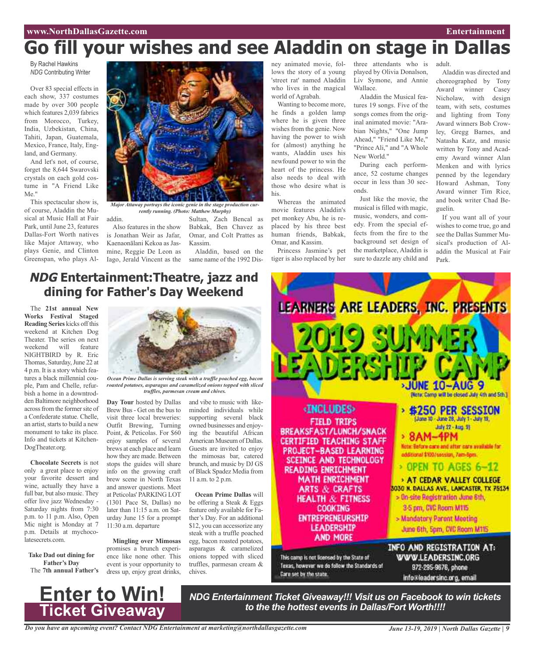# **Go fill your wishes and see Aladdin on stage in Dallas**

By Rachel Hawkins *NDG* Contributing Writer

Over 83 special effects in each show, 337 costumes made by over 300 people which features 2,039 fabrics from Morocco, Turkey, India, Uzbekistan, China, Tahiti, Japan, Guatemala, Mexico, France, Italy, England, and Germany.

And let's not, of course, forget the 8,644 Swarovski crystals on each gold costume in "A Friend Like Me."

This spectacular show is, of course, Aladdin the Musical at Music Hall at Fair Park, until June 23, features Dallas-Fort Worth natives like Major Attaway, who plays Genie, and Clinton Greenspan, who plays Al-



*Major Attaway portrays the iconic genie in the stage production currently running. (Photo: Matthew Murphy)*

addin.

Also features in the show is Jonathan Weir as Jafar, Kaenaonālani Kekoa as Jasmine, Reggie De Leon as Iago, Jerald Vincent as the

Sultan, Zach Bencal as Babkak, Ben Chavez as Omar, and Colt Prattes as Kassim.

Aladdin, based on the same name of the 1992 Disney animated movie, follows the story of a young 'street rat' named Aladdin who lives in the magical world of Agrabah.

Wanting to become more, he finds a golden lamp where he is given three wishes from the genie. Now having the power to wish for (almost) anything he wants, Aladdin uses his newfound power to win the heart of the princess. He also needs to deal with those who desire what is his.

movie features Aladdin's pet monkey Abu, he is replaced by his three best human friends, Babkak, Omar, and Kassim.

Princess Jasmine's pet

three attendants who is played by Olivia Donalson, Liv Symone, and Annie Wallace.

Aladdin the Musical features 19 songs. Five of the songs comes from the original animated movie: "Arabian Nights," "One Jump Ahead," "Friend Like Me," "Prince Ali," and "A Whole New World."

During each performance, 52 costume changes occur in less than 30 sec-

Just like the movie, the musical is filled with magic, music, wonders, and comedy. From the special effects from the fire to the background set design of the marketplace, Aladdin is sure to dazzle any child and

Aladdin was directed and choreographed by Tony Award winner Casey Nicholaw, with design team, with sets, costumes and lighting from Tony Award winners Bob Crowley, Gregg Barnes, and Natasha Katz, and music written by Tony and Academy Award winner Alan Menken and with lyrics penned by the legendary Howard Ashman, Tony Award winner Tim Rice, and book writer Chad Beguelin.

adult.

If you want all of your wishes to come true, go and see the Dallas Summer Musical's production of Aladdin the Musical at Fair Park.



tiger is also replaced by her

### **NDG Entertainment:Theatre, jazz and dining for Father's Day Weekend**

The **21st annual New Works Festival Staged Reading Series** kicks off this weekend at Kitchen Dog Theater. The series on next weekend will feature NIGHTBIRD by R. Eric Thomas, Saturday, June 22 at 4 p.m. It is a story which features a black millennial couple, Pam and Chelle, refurbish a home in a downtrodden Baltimore neighborhood across from the former site of a Confederate statue. Chelle, an artist, starts to build a new monument to take its place. Info and tickets at Kitchen-DogTheater.org.

**Chocolate Secrets** is not only a great place to enjoy your favorite dessert and wine, actually they have a full bar, but also music. They offer live jazz Wednesday - Saturday nights from 7:30 p.m. to 11 p.m. Also, Open Mic night is Monday at 7 p.m. Details at mychocolatesecrets.com.

**Take Dad out dining for Father's Day** The **7th annual Father's**



*Ocean Prime Dallas is serving steak with a truffle poached egg, bacon roasted potatoes, asparagus and caramelized onions topped with sliced truffles, parmesan cream and chives.*

**Day Tour** hosted by Dallas Brew Bus - Get on the bus to visit three local breweries: Outfit Brewing, Turning Point, & Peticolas. For \$60 enjoy samples of several brews at each place and learn how they are made. Between stops the guides will share info on the growing craft brew scene in North Texas and answer questions. Meet at Peticolas' PARKING LOT (1301 Pace St, Dallas) no later than 11:15 a.m. on Saturday June 15 for a prompt 11:30 a.m. departure

**Mingling over Mimosas** promises a brunch experience like none other. This event is your opportunity to dress up, enjoy great drinks,

and vibe to music with likeminded individuals while supporting several black owned businesses and enjoying the beautiful African American Museum of Dallas. Guests are invited to enjoy the mimosas bar, catered brunch, and music by DJ GS of Black Spadez Media from 11 a.m. to 2 p.m.

**Ocean Prime Dallas** will be offering a Steak & Eggs feature only available for Father's Day. For an additional \$12, you can accessorize any steak with a truffle poached egg, bacon roasted potatoes, asparagus & caramelized onions topped with sliced truffles, parmesan cream & chives.



Texas, however we do follow the Standards of Care set by the state.

972-295-9676, phone info@leadersinc.org, email



*NDG Entertainment Ticket Giveaway!!! Visit us on Facebook to win tickets to the the hottest events in Dallas/Fort Worth!!!!*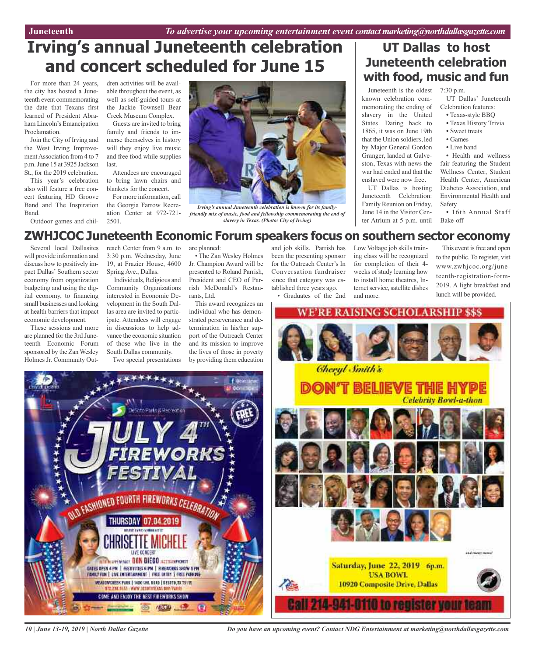# **Irving's annual Juneteenth celebration and concert scheduled for June 15**

For more than 24 years, the city has hosted a Juneteenth event commemorating the date that Texans first learned of President Abraham Lincoln's Emancipation Proclamation.

Join the City of Irving and the West Irving ImprovementAssociation from 4 to 7 p.m.June 15 at 3925 Jackson St., for the 2019 celebration.

This year's celebration also will feature a free concert featuring HD Groove Band and The Inspiration Band.

Outdoor games and chil-

dren activities will be available throughout the event, as well as self-guided tours at the Jackie Townsell Bear Creek Museum Complex.

Guests are invited to bring family and friends to immerse themselves in history will they enjoy live music and free food while supplies last.

Attendees are encouraged to bring lawn chairs and blankets for the concert.

For more information, call the Georgia Farrow Recreation Center at 972-721- 2501.



*Irving's annual Juneteenth celebration is known for its familyfriendly mix of music, food and fellowship commemorating the end of slavery in Texas. (Photo: City of Irving)*

### **UT Dallas to host Juneteenth celebration with food, music and fun**

Juneteenth is the oldest 7:30 p.m. known celebration commemorating the ending of slavery in the United States. Dating back to 1865, it was on June 19th that the Union soldiers, led by Major General Gordon Granger, landed at Galveston, Texas with news the war had ended and that the enslaved were now free.

UT Dallas is hosting Juneteenth Celebration: Family Reunion on Friday, June 14 in the Visitor Center Atrium at 5 p.m. until

UT Dallas' Juneteenth Celebration features:

- Texas-style BBQ
- Texas History Trivia
- Sweet treats • Games
- Live band
- 

• Health and wellness fair featuring the Student Wellness Center, Student Health Center, American Diabetes Association, and Environmental Health and Safety

• 16th Annual Staff Bake-off

### **ZWHJCOC Juneteenth Economic Forum speakers focus on southern sector economy**

Several local Dallasites will provide information and discuss how to positively impact Dallas' Southern sector economy from organization budgeting and using the digital economy, to financing small businesses and looking at health barriers that impact economic development.

These sessions and more are planned for the 3rd Juneteenth Economic Forum sponsored by the ZanWesley Holmes Jr. Community Outreach Center from 9 a.m. to 3:30 p.m. Wednesday, June 19, at Frazier House, 4600 Spring Ave., Dallas.

Individuals, Religious and Community Organizations interested in Economic Development in the South Dallas area are invited to participate. Attendees will engage in discussions to help advance the economic situation of those who live in the South Dallas community.

Two special presentations

NU FASHIONED FOURTH FIREWORKS CELEBRATION

THURSDAY 07.04.2019

**HAY DENEFRI CONSTRAINT BON BIEGO AZZISSOPRINET** 

DATES OFEN A PM | FESTIVITIES & PM | FIRENCIAS SHOW 9 FM FAMILY FUN | LYFE ENTERTAINMENT | FREE ENTITY | FREE PARKING

**VEABOVEREEK FARK | 1400 MHL ROAD | DESSED, TX 75115** 

72.234.9555 | WWW.DESDT112.625.BOV/PA COME AND ENJOY THE BEST FIREWORKS SHOW

the Phris & Recreation

are planned:

• The Zan Wesley Holmes Jr. Champion Award will be presented to Roland Parrish, President and CEO of Parrish McDonald's Restaurants, Ltd.

This award recognizes an individual who has demonstrated perseverance and determination in his/her support of the Outreach Center and its mission to improve the lives of those in poverty by providing them education

and job skills. Parrish has been the presenting sponsor for the Outreach Center's In Conversation fundraiser since that category was established three years ago.

• Graduates of the 2nd

Low Voltage job skills training class will be recognized for completion of their 4 weeks of study learning how to install home theatres, Internet service, satellite dishes and more.

This event is free and open to the public. To register, vist www.zwhjcoc.org/juneteenth-registration-form-2019. A light breakfast and lunch will be provided.





*Do you have an upcoming event? Contact NDG Entertainment at marketing@northdallasgazette.com*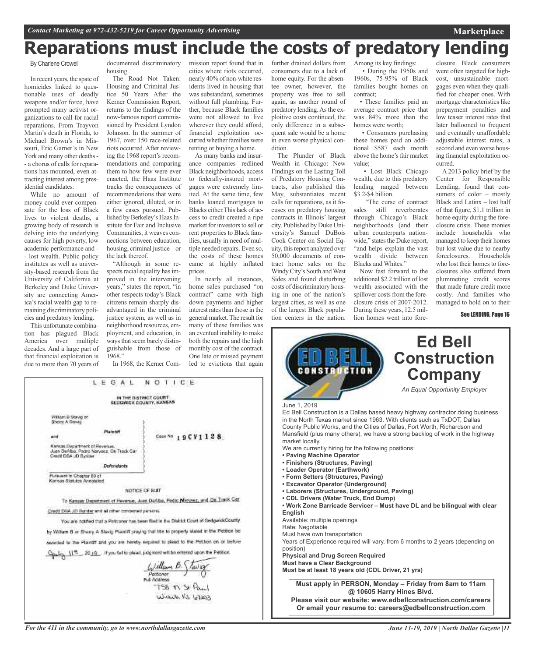# **Reparations must include the costs of predatory lending**

#### By Charlene Crowell

In recent years, the spate of homicides linked to questionable uses of deadly weapons and/or force, have prompted many activist organizations to call for racial reparations. From Trayvon Martin's death in Florida, to Michael Brown's in Missouri, Eric Garner's in New York and many other deaths- - a chorus of calls for reparations has mounted, even attracting interest among presidential candidates.

While no amount of money could ever compensate for the loss of Black lives to violent deaths, a growing body of research is delving into the underlying causes for high poverty, low academic performance and - - lost wealth. Public policy institutes as well as university-based research from the University of California at Berkeley and Duke University are connecting America's racial wealth gap to remaining discriminatory policies and predatory lending.

This unfortunate combination has plagued Black America over multiple decades. And a large part of that financial exploitation is due to more than 70 years of

> William B Stavig of Sherry A Strut

Pursuant to Chapter 80 of Karisas Statutes Annotated

and

documented discriminatory housing.

The Road Not Taken: Housing and Criminal Justice 50 Years After the Kerner Commission Report, returns to the findings of the now-famous report commissioned by President Lyndon Johnson. In the summer of 1967, over 150 race-related riots occurred. After reviewing the 1968 report's recommendations and comparing them to how few were ever enacted, the Haas Institute tracks the consequences of recommendations that were either ignored, diluted, or in a few cases pursued. Published by Berkeley's Haas Institute for Fair and Inclusive Communities, it weaves connections between education, housing, criminal justice – or the lack thereof.

"Although in some respects racial equality has improved in the intervening years," states the report, "in other respects today's Black citizens remain sharply disadvantaged in the criminal justice system, as well as in neighborhood resources, employment, and education, in ways that seem barely distinguishable from those of 1968."

In 1968, the Kerner Com-

IN THE DISTRICT COURT<br>SEDGWICK COUNTY, KANSAS

NOTICE OF BUIT To Kansas Department of Havenue, Juan DoAba, Redit Maryaez, and On Track Car

You are notified that a Petituner has been find in the District Court of SedgwickCounty. by William B or Sherry A Stavic Plaintiff praying that the to property stated in the Petrion be awarded to the Flantiff and you are hereby required to plead to the Petiton on or before 11th\_20.19. If you fiel to plead, judgment will be entered upon the Petiton.

 $\frac{L_1/ m l_{\text{form}} \beta \sqrt{L_1} \beta}{L_2}$ Full Notioner

 $158 \pi S$ Wickets KS 67203

NOTICE

Case Nn 19CV1128

LEGAL

Plaintif

Defendants

Credit DBA JD Syndag and all other concerned parades:

Kansas Department of Revenue.<br>Juan DeAlba, Padro Naryaoz, On Track Car<br>Credit DDA JD Byrider

mission report found that in cities where riots occurred, nearly 40% of non-white residents lived in housing that was substandard, sometimes without full plumbing. Further, because Black families were not allowed to live wherever they could afford, financial exploitation occurred whether families were renting or buying a home.

As many banks and insurance companies redlined Black neighborhoods, access to federally-insured mortgages were extremely limited. At the same time, few banks loaned mortgages to Blacks either. This lack of access to credit created a ripe market for investors to sell or rent properties to Black families, usually in need of multiple needed repairs. Even so, the costs of these homes came at highly inflated prices.

In nearly all instances, home sales purchased "on contract" came with high down payments and higher interest rates than those in the general market.The result for many of these families was an eventual inability to make both the repairs and the high monthly cost of the contract. One late or missed payment led to evictions that again

further drained dollars from consumers due to a lack of home equity. For the absentee owner, however, the property was free to sell again, as another round of predatory lending.Asthe exploitive costs continued, the only difference in a subsequent sale would be a home in even worse physical condition.

The Plunder of Black Wealth in Chicago: New Findings on the Lasting Toll of Predatory Housing Contracts, also published this May, substantiates recent calls for reparations, as it focuses on predatory housing contracts in Illinois' largest city. Published by Duke University's Samuel DuBois Cook Center on Social Equity, this report analyzed over 50,000 documents of contract home sales on the Windy City's South and West Sides and found disturbing costs of discriminatory housing in one of the nation's largest cities, as well as one of the largest Black population centers in the nation.

Among its key findings: • During the 1950s and 1960s, 75-95% of Black families bought homes on contract;

• These families paid an average contract price that was 84% more than the homes were worth;

• Consumers purchasing these homes paid an additional \$587 each month above the home's fair market value;

• Lost Black Chicago wealth, due to this predatory lending ranged between \$3.2-\$4 billion.

"The curse of contract sales still reverberates through Chicago's Black neighborhoods (and their urban counterparts nationwide," states the Duke report, "and helps explain the vast wealth divide between Blacks and Whites."

Now fast forward to the additional \$2.2 trillion of lost wealth associated with the spillover costs from the foreclosure crisis of 2007-2012. During these years, 12.5 million homes went into fore-

closure. Black consumers were often targeted for highcost, unsustainable mortgages even when they qualified for cheaper ones. With mortgage characteristics like prepayment penalties and low teaser interest rates that later ballooned to frequent and eventually unaffordable adjustable interest rates, a second and even worse housing financial exploitation occurred.

**Marketplace**

A 2013 policy brief by the Center for Responsible Lending, found that consumers of color – mostly Black and Latinx – lost half of that figure, \$1.1 trillion in home equity during the foreclosure crisis. These monies include households who managed to keep their homes but lost value due to nearby foreclosures. Households who lost their homes to foreclosures also suffered from plummeting credit scores that made future credit more costly. And families who managed to hold on to their

See LENDING, Page 16



*For the 411 in the community, go to www.northdallasgazette.com*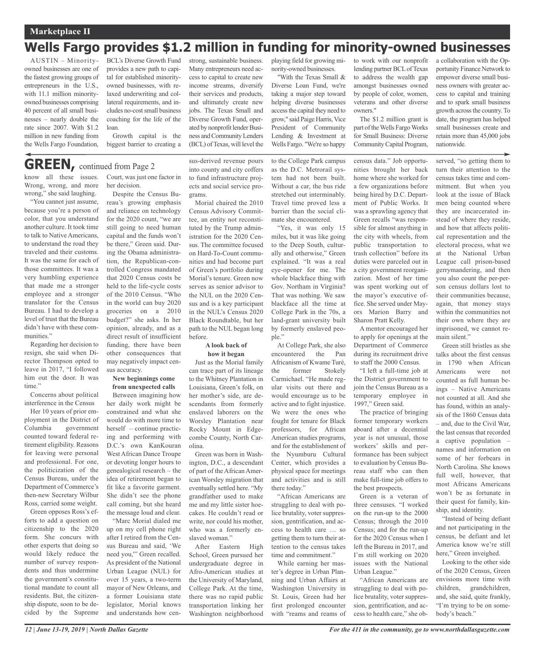### **Marketplace II** *Contact Marketing at 972-432-5219 for Career Opportunity Advertising*

### **Wells Fargo provides \$1.2 million in funding for minority-owned businesses**

AUSTIN – Minorityowned businesses are one of the fastest growing groups of entrepreneurs in the U.S., with 11.1 million minorityowned businesses comprising 40 percent of all small businesses – nearly double the rate since 2007. With \$1.2 million in new funding from the Wells Fargo Foundation,

BCL's Diverse Growth Fund provides a new path to capital for established minorityowned businesses, with relaxed underwriting and collateral requirements, and includes no-cost small business coaching for the life of the loan.

Growth capital is the biggest barrier to creating a

# **GREEN,** continued from Page <sup>2</sup>

know all these issues. Wrong, wrong, and more wrong," she said laughing.

"You cannot just assume, because you're a person of color, that you understand another culture. It took time to talk to Native Americans, to understand the road they traveled and their customs. It was the same for each of those committees. It was a very humbling experience that made me a stronger employee and a stronger translator for the Census Bureau. I had to develop a level of trust that the Bureau didn't have with these communities."

Regarding her decision to resign, she said when Director Thompson opted to leave in 2017, "I followed him out the door. It was time."

Concerns about political interference in the Census

Her 10 years of prior employment in the District of Columbia government counted toward federal retirement eligibility. Reasons for leaving were personal and professional. For one, the politicization of the Census Bureau, under the Department of Commerce's then-new Secretary Wilbur Ross, carried some weight.

Green opposes Ross's efforts to add a question on citizenship to the 2020 form. She concurs with other experts that doing so would likely reduce the number of survey respondents and thus undermine the government's constitutional mandate to count all residents. But, the citizenship dispute, soon to be decided by the Supreme

Court, was just one factor in her decision.

Despite the Census Bureau's growing emphasis and reliance on technology for the 2020 count, "we are still going to need human capital and the funds won't be there," Green said. During the Obama administration, the Republican-controlled Congress mandated that 2020 Census costs be held to the life-cycle costs of the 2010 Census. "Who in the world can buy 2020 groceries on a 2010 budget?" she asks. In her opinion, already, and as a direct result of insufficient funding, there have been other consequences that may negatively impact census accuracy.

### **New beginnings come from unexpected calls**

Between imagining how her daily work might be constrained and what she would do with more time to herself – continue practicing and performing with D.C.'s own KanKouran West African Dance Troupe or devoting longer hours to genealogical research – the idea of retirement began to fit like a favorite garment. She didn't see the phone call coming, but she heard the message loud and clear.

"Marc Morial dialed me up on my cell phone right after I retired from the Census Bureau and said, 'We need you,'" Green recalled. As president of the National Urban League (NUL) for over 15 years, a two-term mayor of New Orleans, and a former Louisiana state legislator, Morial knows and understands how cen-

sus-derived revenue pours into county and city coffers to fund infrastructure projects and social service programs.

strong, sustainable business. Many entrepreneurs need access to capital to create new income streams, diversify their services and products, and ultimately create new jobs. The Texas Small and Diverse Growth Fund, operated by nonprofit lender Business and Community Lenders (BCL) ofTexas, will level the

Morial chaired the 2010 Census Advisory Committee, an entity not reconstituted by the Trump administration for the 2020 Census. The committee focused on Hard-To-Count communities and had become part of Green's portfolio during Morial's tenure. Green now serves as senior advisor to the NUL on the 2020 Census and is a key participant in the NUL's Census 2020 Black Roundtable, but her path to the NUL began long before.

#### **A look back of how it began**

Just as the Morial family can trace part of its lineage to the Whitney Plantation in Louisiana, Green's folk, on her mother's side, are descendants from formerly enslaved laborers on the Worsley Plantation near Rocky Mount in Edgecombe County, North Carolina.

Green was born in Washington, D.C., a descendant of part of the African American Worsley migration that eventually settled here. "My grandfather used to make me and my little sister hoecakes. He couldn't read or write, nor could his mother, who was a formerly enslaved woman."

After Eastern High School, Green pursued her undergraduate degree in Afro-American studies at the University of Maryland, College Park. At the time, there was no rapid public transportation linking her Washington neighborhood

playing field for growing minority-owned businesses.

"With the Texas Small & Diverse Loan Fund, we're taking a major step toward helping diverse businesses access the capital they need to grow," said Paige Harris, Vice President of Community Lending & Investment at Wells Fargo. "We're so happy

to the College Park campus as the D.C. Metrorail system had not been built. Without a car, the bus ride stretched out interminably. Travel time proved less a barrier than the social climate she encountered.

"Yes, it was only 15 miles, but it was like going to the Deep South, culturally and otherwise," Green explained. "It was a real eye-opener for me. The whole blackface thing with Gov. Northam in Virginia? That was nothing. We saw blackface all the time at College Park in the 70s, a land-grant university built by formerly enslaved people."

At College Park, she also encountered the Pan Africanism of Kwame Turé, the former Stokely Carmichael. "He made regular visits out there and would encourage us to be active and to fight injustice. We were the ones who fought for tenure for Black professors, for African American studies programs, and for the establishment of the Nyumburu Cultural Center, which provides a physical space for meetings and activities and is still there today."

"African Americans are struggling to deal with police brutality, voter suppression, gentrification, and access to health care … so getting them to turn their attention to the census takes time and commitment."

While earning her master's degree in Urban Planning and Urban Affairs at Washington University in St. Louis, Green had her first prolonged encounter with "reams and reams of

to work with our nonprofit lending partner BCL of Texas to address the wealth gap amongst businesses owned by people of color, women, veterans and other diverse owners."

The \$1.2 million grant is part of the Wells Fargo Works for Small Business: Diverse CommunityCapital Program,

census data." Job opportunities brought her back home where she worked for a few organizations before being hired by D.C. Department of Public Works. It was a sprawling agency that Green recalls "was responsible for almost anything in the city with wheels, from public transportation to trash collection" before its duties were parceled out in a city government reorganization. Most of her time was spent working out of the mayor's executive office. She served under Mayors Marion Barry and Sharon Pratt Kelly.

A mentor encouraged her to apply for openings at the Department of Commerce during its recruitment drive to staff the 2000 Census.

"I left a full-time job at the District government to join the Census Bureau as a temporary employee in 1997," Green said.

The practice of bringing former temporary workers aboard after a decennial year is not unusual, those workers' skills and performance has been subject to evaluation by Census Bureau staff who can then make full-time job offers to the best prospects.

Green is a veteran of three censuses. "I worked on the run-up to the 2000 Census; through the 2010 Census; and for the run-up for the 2020 Census when I left the Bureau in 2017, and I'm still working on 2020 issues with the National Urban League."

"African Americans are struggling to deal with police brutality, voter suppression, gentrification, and access to health care," she oba collaboration with the Opportunity Finance Network to empower diverse small business owners with greater access to capital and training and to spark small business growth across the country. To date, the program has helped small businesses create and retain more than 45,000 jobs nationwide.

served, "so getting them to turn their attention to the census takes time and commitment. But when you look at the issue of Black men being counted where they are incarcerated instead of where they reside, and how that affects political representation and the electoral process, what we at the National Urban League call prison-based gerrymandering, and then you also count the per-person census dollars lost to their communities because, again, that money stays within the communities not their own where they are imprisoned, we cannot remain silent."

Green still bristles as she talks about the first census in 1790 when African Americans were not counted as full human beings – Native Americans not counted at all. And she has found, within an analysis of the 1860 Census data – and, due to the Civil War, the last census that recorded a captive population – names and information on some of her forbears in North Carolina. She knows full well, however, that most Africans Americans won't be as fortunate in their quest for family, kinship, and identity.

"Instead of being defiant and not participating in the census, be defiant and let America know we're still here," Green inveighed.

Looking to the other side of the 2020 Census, Green envisions more time with children, grandchildren, and, she said, quite frankly, "I'm trying to be on somebody's beach."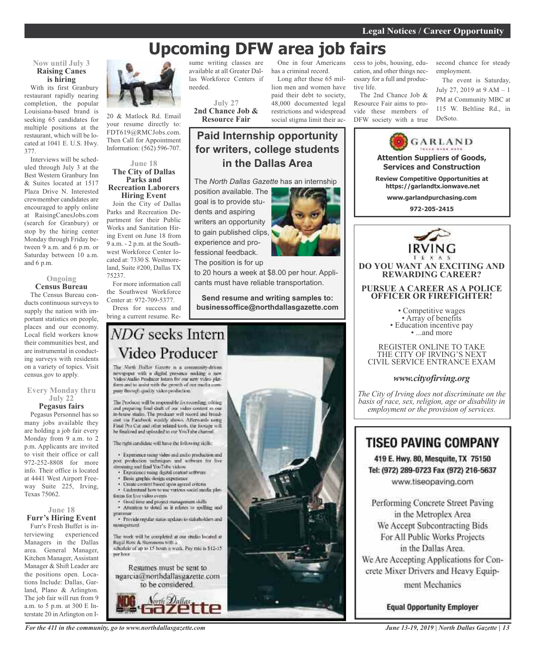# **Upcoming DFW area job fairs**

**Paid Internship opportunity**

**for writers, college students in the Dallas Area**

### **Now until July 3 Raising Canes is hiring**

With its first Granbury restaurant rapidly nearing completion, the popular Louisiana-based brand is seeking 65 candidates for multiple positions at the restaurant, which will be located at 1041 E. U.S. Hwy. 377.

Interviews will be scheduled through July 3 at the Best Western Granbury Inn & Suites located at 1517 Plaza Drive N. Interested crewmember candidates are encouraged to apply online at RaisingCanesJobs.com (search for Granbury) or stop by the hiring center Monday through Friday between 9 a.m. and 6 p.m. or Saturday between 10 a.m. and 6 p.m.

### **Ongoing Census Bureau**

The Census Bureau conducts continuous surveys to supply the nation with important statistics on people, places and our economy. Local field workers know their communities best, and are instrumental in conducting surveys with residents on a variety of topics. Visit census.gov to apply.

#### **Every Monday thru July 22 Pegasus fairs**

Pegasus Personnel has so many jobs available they are holding a job fair every Monday from 9 a.m. to 2 p.m. Applicants are invited to visit their office or call 972-252-8808 for more info. Their office is located at 4441 West Airport Freeway Suite 225, Irving, Texas 75062.

### **June 18**

**Furr's Hiring Event** Furr's Fresh Buffet is interviewing experienced Managers in the Dallas area. General Manager, Kitchen Manager, Assistant Manager & Shift Leader are the positions open. Locations Include: Dallas, Garland, Plano & Arlington. The job fair will run from 9 a.m. to 5 p.m. at 300 E Interstate 20 in Arlington on I-



20 & Matlock Rd. Email your resume directly to: FDT619@RMCJobs.com. Then Call for Appointment Information: (562) 596-707.

#### **June 18 The City of Dallas Parks and Recreation Laborers Hiring Event**

Join the City of Dallas Parks and Recreation Department for their Public Works and Sanitation Hiring Event on June 18 from 9 a.m. - 2 p.m. at the Southwest Workforce Center located at: 7330 S. Westmoreland, Suite #200, Dallas TX 75237.

For more information call the Southwest Workforce Center at: 972-709-5377.

Dress for success and bring a current resume. Re-

sume writing classes are available at all Greater Dallas Workforce Centers if needed.

**July 27 2nd Chance Job & Resource Fair**

goal is to provide stu-

One in four Americans has a criminal record. Long after these 65 mil-

lion men and women have paid their debt to society, 48,000 documented legal restrictions and widespread social stigma limit their access to jobs, housing, education, and other things necessary for a full and productive life.

The 2nd Chance Job & Resource Fair aims to provide these members of DFW society with a true

second chance for steady employment.

The event is Saturday, July 27, 2019 at 9 AM – 1 PM at Community MBC at 115 W. Beltline Rd., in DeSoto.



### **TISEO PAVING COMPANY**

419 E. Hwy. 80, Mesquite, TX 75150 Tel: (972) 289-0723 Fax (972) 216-5637 www.tiseopaving.com

Performing Concrete Street Paving in the Metroplex Area We Accept Subcontracting Bids For All Public Works Projects in the Dallas Area. We Are Accepting Applications for Concrete Mixer Drivers and Heavy Equipment Mechanics

**Equal Opportunity Employer** 

dents and aspiring writers an opportunity to gain published clips, experience and professional feedback. The position is for up to 20 hours a week at \$8.00 per hour. Appli-

cants must have reliable transportation.

**Send resume and writing samples to: businessoffice@northdallasgazette.com**

### NDG seeks Intern Video Producer

The North Dallas Gazette is a community-driven newspaper with a digital presence socking a new<br>Video/Audio Producer latins for our new video platform and in assist with the growth of our media company floringh quality video production."

The Producer will be responsible for recording, editing and preparing final diult of our video content in our<br>in-house stadio. The producer will record and broadcast via Facebook weekly shows. Afterwards noting Final Pro Cut and other related tools, the hostage will he finalized and uploaded to our YouTube channel.

The radii cardidate will have the following skills;

· Experience using video and and/o production and post production techniques and software for live streaming and find YouTube videos.

- Experience using digital content settware
- Basic graphic design expensive
- Unite content hased upon agreed criteria · Understand how to use various social media plat-
- finges for live video events.
- · Good time and project management shills · Attention to detail as it relates to spelling and
- · Provide regular states updates to stakeholders and minagement

The work will be completed at our studio located at Regal Row & Stemmons with a<br>schedule of up to 15 hours a week. Pay rate is \$12-15 per hoor.

Resumes must be sent to ngarcia@northdallasgazette.com to be considered.



*For the 411 in the community, go to www.northdallasgazette.com*

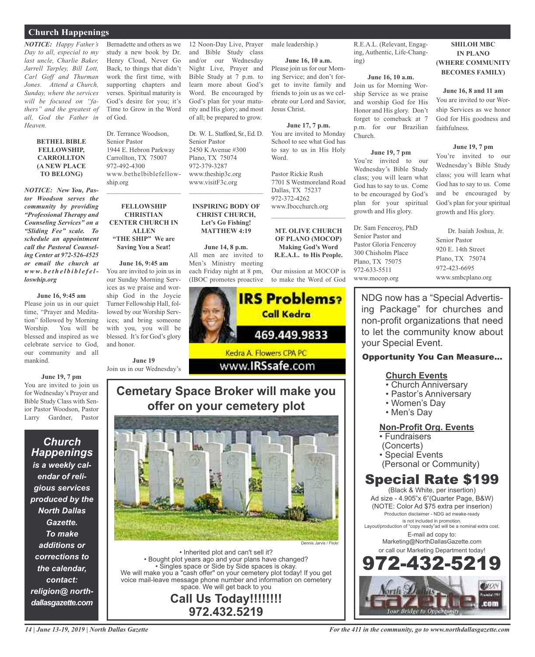### **Church Happenings**

*NOTICE: Happy Father's Day to all, especial to my last uncle, Charlie Baker, Jarrell Tarpley, Bill Lott, Carl Goff and Thurman Jones. Attend a Church, Sunday, where the services will be focused on "fathers" and the greatest of all, God the Father in Heaven.*

#### **BETHEL BIBLE FELLOWSHIP, CARROLLTON (A NEW PLACE TO BELONG)**

*NOTICE: New You, Pastor Woodson serves the community by providing "Professional Therapy and Counseling Services" on a "Sliding Fee" scale. To schedule an appointment call the Pastoral Counseling Center at 972-526-4525 or email the church at www. b e t h e l b i b l e f e lloswhip.org*

### **June 16, 9:45 am**

Please join us in our quiet time, "Prayer and Meditation" followed by Morning Worship. You will be blessed and inspired as we celebrate service to God, our community and all mankind.

**June 19, 7 pm** You are invited to join us for Wednesday's Prayer and Bible Study Class with Senior Pastor Woodson, Pastor Larry Gardner, Pastor

*Church Happenings is a weekly calendar of religious services produced by the North Dallas Gazette. To make additions or corrections to the calendar, contact: religion@ northdallasgazette.com*

Bernadette and others as we study a new book by Dr. Henry Cloud, Never Go Back, to things that didn't work the first time, with supporting chapters and verses. Spiritual maturity is God's desire for you; it's Time to Grow in the Word of God.

Dr. Terrance Woodson, Senior Pastor 1944 E. Hebron Parkway Carrollton, TX 75007 972-492-4300 www.bethelbiblefellowship.org  $\mathcal{L}_\text{max}$  , which is a set of the set of the set of the set of the set of the set of the set of the set of the set of the set of the set of the set of the set of the set of the set of the set of the set of the set of

**FELLOWSHIP CHRISTIAN CENTER CHURCH IN ALLEN "THE SHIP" We are Saving You a Seat!**

**June 16, 9:45 am** You are invited to join us in our Sunday Morning Services as we praise and worship God in the Joycie Turner Fellowship Hall, followed by our Worship Services; and bring someone with you, you will be blessed. It's for God's glory and honor.

**June 19** Join us in our Wednesday's



• Inherited plot and can't sell it? • Bought plot years ago and your plans have changed? • Singles space or Side by Side spaces is okay. We will make you a "cash offer" on your cemetery plot today! If you get voice mail-leave message phone number and information on cemetery space. We will get back to you

> **Call Us Today!!!!!!!! 972.432.5219**

12 Noon-Day Live, Prayer and Bible Study class male leadership.)

and/or our Wednesday Night Live, Prayer and Bible Study at 7 p.m. to learn more about God's Word. Be encouraged by God's plan for your maturity and His glory; and most of all; be prepared to grow.

Dr. W. L. Stafford, Sr., Ed. D.

 $\overline{\phantom{a}}$  , and the set of the set of the set of the set of the set of the set of the set of the set of the set of the set of the set of the set of the set of the set of the set of the set of the set of the set of the s

**INSPIRING BODY OF CHRIST CHURCH, Let's Go Fishing! MATTHEW 4:19**

**June 14, 8 p.m.** All men are invited to Men's Ministry meeting each Friday night at 8 pm, (IBOC promotes proactive

Senior Pastor 2450 K Avenue #300 Plano, TX 75074 972-379-3287 www.theship3c.org www.visitF3c.org

**June 16, 10 a.m.** Please join us for our Morning Service; and don't forget to invite family and friends to join us as we celebrate our Lord and Savior, Jesus Christ.

**June 17, 7 p.m.** You are invited to Monday School to see what God has to say to us in His Holy Word.

Pastor Rickie Rush 7701 S Westmoreland Road Dallas, TX 75237 972-372-4262 www.Ibocchurch.org

**MT. OLIVE CHURCH OF PLANO (MOCOP) Making God's Word R.E.A.L. to His People.**

Our mission at MOCOP is to make the Word of God



 $\mathcal{L}$  , and the set of the set of the set of the set of the set of the set of the set of the set of the set of the set of the set of the set of the set of the set of the set of the set of the set of the set of the set

972-633-5511

R.E.A.L. (Relevant, Engaging, Authentic, Life-Changing)

### **June 16, 10 a.m.**

Join us for Morning Worship Service as we praise and worship God for His Honor and His glory. Don't forget to comeback at 7 p.m. for our Brazilian Church.

### **June 19, 7 pm**

You're invited to our Wednesday's Bible Study class; you will learn what God has to say to us. Come to be encouraged by God's plan for your spiritual growth and His glory.

Dr. Sam Fenceroy, PhD Senior Pastor and Pastor Gloria Fenceroy 300 Chisholm Place Plano, TX 75075 www.mocop.org

**SHILOH MBC IN PLANO (WHERE COMMUNITY BECOMES FAMILY)**

**June 16, 8 and 11 am**

You are invited to our Worship Services as we honor God for His goodness and faithfulness.

### **June 19, 7 pm**

You're invited to our Wednesday's Bible Study class; you will learn what God has to say to us. Come and be encouraged by God's plan for your spiritual growth and His glory.

Dr. Isaiah Joshua, Jr. Senior Pastor 920 E. 14th Street Plano, TX 75074 972-423-6695 www.smbcplano.org

NDG now has a "Special Advertising Package" for churches and non-profit organizations that need to let the community know about your Special Event.

### Opportunity You Can Measure...

### **Church Events**

- Church Anniversary
- Pastor's Anniversary
- Women's Day
- Men's Day

### **Non-Profit Org. Events**

• Fundraisers

- (Concerts)
- Special Events
- (Personal or Community)

### Special Rate \$199

(Black & White, per insertion) Ad size - 4.905"x 6"(Quarter Page, B&W) (NOTE: Color Ad \$75 extra per inserion) Production disclaimer - NDG ad meake-ready is not included in promotion. Layout/production of "copy ready"ad will be a nominal extra cost. E-mail ad copy to: Marketing@NorthDallasGazette.com or call our Marketing Department today! 972-432-5219



*14 | June 13-19, 2019 | North Dallas Gazette*

# www.**IRSsafe.com Cemetary Space Broker will make you**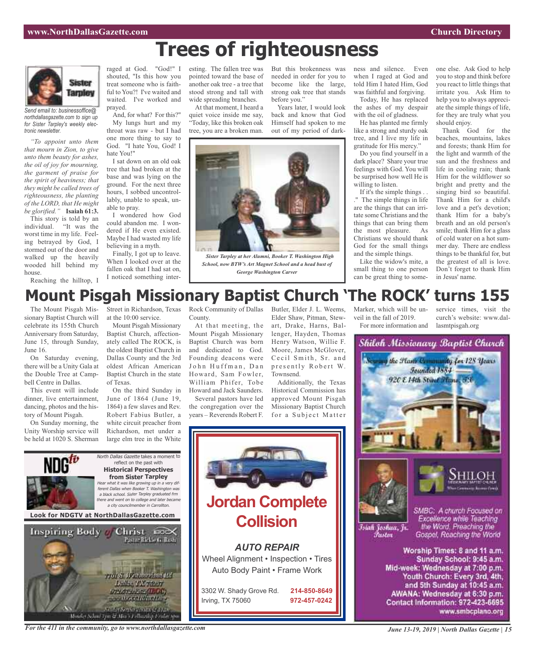# **Trees of righteousness**



*Send email to: businessoffice@ northdallasgazette.com to sign up for Sister Tarpley's weekly electronic newsletter.*

*"To appoint unto them that mourn in Zion, to give unto them beauty for ashes, the oil of joy for mourning, the garment of praise for the spirit of heaviness; that they might be called trees of righteousness, the planting of the LORD, that He might be glorified."* **Isaiah 61:3.**

This story is told by an individual. "It was the worst time in my life. Feeling betrayed by God, I stormed out of the door and walked up the heavily wooded hill behind my house.

Reaching the hilltop, I

raged at God. "God!" I shouted, "Is this how you treat someone who is faithful to You?! I've waited and waited. I've worked and prayed.

And, for what? For this?" My lungs hurt and my throat was raw - but I had one more thing to say to God. "I hate You, God! I hate You!"

I sat down on an old oak tree that had broken at the base and was lying on the ground. For the next three hours, I sobbed uncontrollably, unable to speak, unable to pray.

I wondered how God could abandon me. I wondered if He even existed. Maybe I had wasted my life believing in a myth.

Finally, I got up to leave. When I looked over at the fallen oak that I had sat on, I noticed something interesting. The fallen tree was pointed toward the base of another oak tree - a tree that stood strong and tall with wide spreading branches.

At that moment, I heard a quiet voice inside me say, "Today, like this broken oak tree, you are a broken man.



But this brokenness was

Years later, I would look back and know that God Himself had spoken to me out of my period of dark-



*Sister Tarpley at her Alumni, Booker T. Washington High School, now BTW's Art Magnet School and a head bust of George Washington Carver*

ness and silence. Even when I raged at God and told Him I hated Him, God was faithful and forgiving. Today, He has replaced

the ashes of my despair with the oil of gladness.

He has planted me firmly like a strong and sturdy oak tree, and I live my life in gratitude for His mercy."

Do you find yourself in a dark place? Share your true feelings with God. You will be surprised how well He is willing to listen.

If it's the simple things . . ." The simple things in life are the things that can irritate some Christians and the things that can bring them the most pleasure. As Christians we should thank God for the small things and the simple things.

Like the widow's mite, a small thing to one person can be great thing to someone else. Ask God to help you to stop and think before you react to little things that irritate you. Ask Him to help you to always appreciate the simple things of life, for they are truly what you should enjoy.

Thank God for the beaches, mountains, lakes and forests; thank Him for the light and warmth of the sun and the freshness and life in cooling rain; thank Him for the wildflower so bright and pretty and the singing bird so beautiful. Thank Him for a child's love and a pet's devotion; thank Him for a baby's breath and an old person's smile; thank Him for a glass of cold water on a hot summer day. There are endless things to be thankful for, but the greatest of all is love. Don't forget to thank Him in Jesus' name.

# **Mount Pisgah Missionary Baptist Church 'The ROCK' turns 155**

The Mount Pisgah Missionary Baptist Church will celebrate its 155th Church Anniversary from Saturday, June 15, through Sunday, June 16.

On Saturday evening, there will be a Unity Gala at the Double Tree at Campbell Centre in Dallas.

This event will include dinner, live entertainment, dancing, photos and the history of Mount Pisgah.

On Sunday morning, the Unity Worship service will be held at 1020 S. Sherman

at the 10:00 service.

Mount Pisgah Missionary Baptist Church, affectionately called The ROCK, is the oldest Baptist Church in Dallas County and the 3rd oldest African American Baptist Church in the state of Texas.

On the third Sunday in June of 1864 (June 19, 1864) a few slaves and Rev. Robert Fabius Butler, a white circuit preacher from Richardson, met under a large elm tree in the White

North Dallas Gazette takes a moment to reflect on the past with **Historical Perspectives from Sister Tarpley** Hear what it was like growing up in <sup>a</sup> very different Dallas when Booker T. Washington was <sup>a</sup> black school. Sister Tarpley graduated frm there and went on to college and later became <sup>a</sup> city councilmember in Carrollton.

Pastar Rickle G. Bush.

761 S. Westman Mod 167

Luthis TX racer

073.073.1202(ILOC)

**STATISTICS** 

Street in Richardson, Texas Rock Community of Dallas County. At that meeting, the Mount Pisgah Missionary

Baptist Church was born and dedicated to God. Founding deacons were John Huffman, Dan Howard, Sam Fowler, William Phifer, Tobe Howard and Jack Saunders.

Several pastors have led the congregation over the years – Reverends Robert F. Butler, Elder J. L. Weems, Elder Shaw, Pitman, Stewart, Drake, Harns, Ballenger, Hayden, Thomas Henry Watson, Willie F. Moore, James McGlover, Cecil Smith, Sr. and presently Robert W. Townsend.

Additionally, the Texas Historical Commission has approved Mount Pisgah Missionary Baptist Church for a Subject Matter



Marker, which will be unveil in the fall of 2019.

For more information and lasmtpisgah.org service times, visit the curch's website: www.dal-

# Shiloh Missionary Baptist Church the Hank Community for 128 Years **Founded 1884** 920 E 14th Street France, 73 SMBC: A church Focused on Excellence while Teaching Istah Joshua, Jr. the Word. Preaching the Gospel, Reaching the World *Pastar* Worship Times: 8 and 11 a.m. Sunday School: 9:45 a.m. Mid-week: Wednesday at 7:00 p.m. Youth Church: Every 3rd, 4th,

and 5th Sunday at 10:45 a.m. AWANA: Wednesday at 6:30 p.m. Contact Information: 972-423-6695 www.smbcplano.org

*For the 411 in the community, go to www.northdallasgazette.com*

.<br>Monder Schud Tym & Mar i Lellawhey Erabet sy

**Look for NDGTV at NorthDallasGazette.com**

Inspiring Body Christ 200X